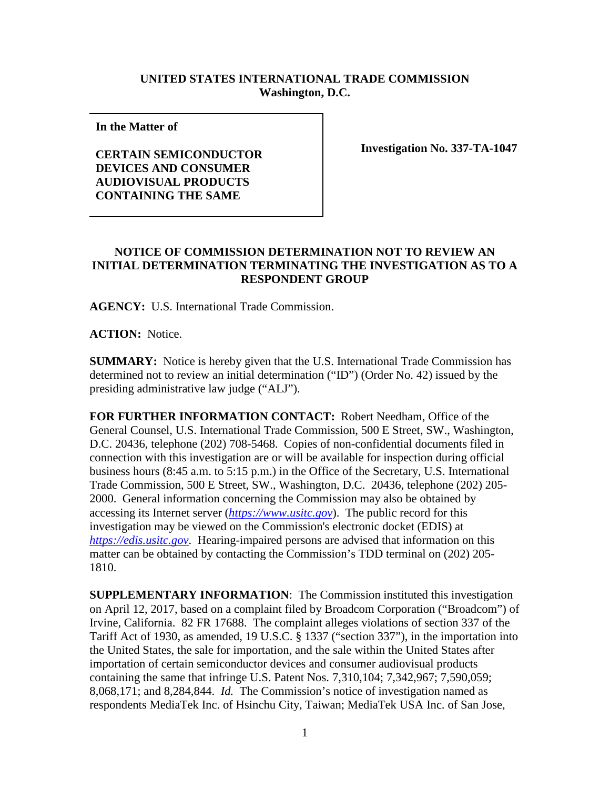## **UNITED STATES INTERNATIONAL TRADE COMMISSION Washington, D.C.**

**In the Matter of** 

## **CERTAIN SEMICONDUCTOR DEVICES AND CONSUMER AUDIOVISUAL PRODUCTS CONTAINING THE SAME**

**Investigation No. 337-TA-1047**

## **NOTICE OF COMMISSION DETERMINATION NOT TO REVIEW AN INITIAL DETERMINATION TERMINATING THE INVESTIGATION AS TO A RESPONDENT GROUP**

**AGENCY:** U.S. International Trade Commission.

**ACTION:** Notice.

**SUMMARY:** Notice is hereby given that the U.S. International Trade Commission has determined not to review an initial determination ("ID") (Order No. 42) issued by the presiding administrative law judge ("ALJ").

**FOR FURTHER INFORMATION CONTACT:** Robert Needham, Office of the General Counsel, U.S. International Trade Commission, 500 E Street, SW., Washington, D.C. 20436, telephone (202) 708-5468. Copies of non-confidential documents filed in connection with this investigation are or will be available for inspection during official business hours (8:45 a.m. to 5:15 p.m.) in the Office of the Secretary, U.S. International Trade Commission, 500 E Street, SW., Washington, D.C. 20436, telephone (202) 205- 2000. General information concerning the Commission may also be obtained by accessing its Internet server (*[https://www.usitc.gov](https://www.usitc.gov/)*). The public record for this investigation may be viewed on the Commission's electronic docket (EDIS) at *[https://edis.usitc.gov](https://edis.usitc.gov/)*. Hearing-impaired persons are advised that information on this matter can be obtained by contacting the Commission's TDD terminal on (202) 205- 1810.

**SUPPLEMENTARY INFORMATION**: The Commission instituted this investigation on April 12, 2017, based on a complaint filed by Broadcom Corporation ("Broadcom") of Irvine, California. 82 FR 17688. The complaint alleges violations of section 337 of the Tariff Act of 1930, as amended, 19 U.S.C. § 1337 ("section 337"), in the importation into the United States, the sale for importation, and the sale within the United States after importation of certain semiconductor devices and consumer audiovisual products containing the same that infringe U.S. Patent Nos. 7,310,104; 7,342,967; 7,590,059; 8,068,171; and 8,284,844. *Id.* The Commission's notice of investigation named as respondents MediaTek Inc. of Hsinchu City, Taiwan; MediaTek USA Inc. of San Jose,